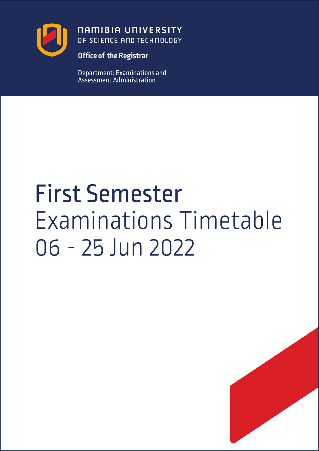

**NAMIBIA UNIVERSITY** OF SCIENCE AND TECHNOLOGY

**Office of the Registrar**

Department: Examinations and Assessment Administration

# First Semester Examinations Timetable 06 - 25 Jun 2022

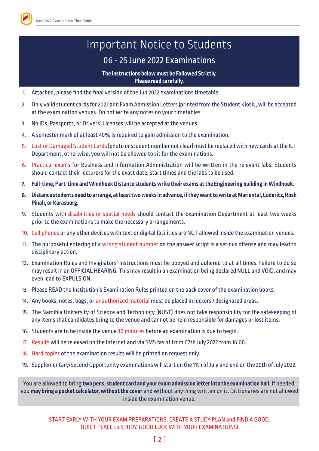

.

## Important Notice to Students

### 06 - 25 June 2022 Examinations

#### **The instructions below must be Followed Strictly. Please read carefully.**

- 1. Attached, please find the final version of the Jun 2022 examinations timetable.
- 2. Only valid student cards for 2022 and Exam Admission Letters (printed from the Student Kiosk), will be accepted at the examination venues. Do not write any notes on your timetables.
- 3. No IDs, Passports, or Drivers' Licenses will be accepted at the venues.
- 4. A semester mark of at least 40% is required to gain admission to the examination.
- 5. Lost or Damaged Student Cards (photo or student number not clear) must be replaced with new cards at the ICT Department, otherwise, you will not be allowed to sit for the examinations.
- 6. Practical exams for Business and Information Administration will be written in the relevant labs. Students should contact their lecturers for the exact date, start times and the labs to be used.
- **7. Full-time, Part-time and Windhoek Distance students write their exams at the Engineering building in Windhoek.**
- **8. Distance students need to arrange, at least two weeks in advance, if they want to write at Mariental, Luderitz, Rosh Pinah, or Karasburg.**
- 9. Students with disabilities or special needs should contact the Examination Department at least two weeks prior to the examinations to make the necessary arrangements.
- 10. Cell phones or any other devices with text or digital facilities are NOT allowed inside the examination venues.
- 11. The purposeful entering of a wrong student number on the answer script is a serious offense and may lead to disciplinary action.
- 12. Examination Rules and Invigilators' Instructions must be obeyed and adhered to at all times. Failure to do so may result in an OFFICIAL HEARING. This may result in an examination being declared NULL and VOID, and may even lead to EXPULSION.
- 13. Please READ the Institution's Examination Rules printed on the back cover of the examination books.
- 14. Any books, notes, bags, or unauthorized material must be placed in lockers / designated areas.
- 15. The Namibia University of Science and Technology (NUST) does not take responsibility for the safekeeping of any items that candidates bring to the venue and cannot be held responsible for damages or lost items.
- 16. Students are to be inside the venue 30 minutes before an examination is due to begin.
- 17. Results will be released on the Internet and via SMS fas of from 07th July 2022 from 16:00.
- 18. Hard copies of the examination results will be printed on request only.
- 19. Supplementary/Second Opportunity examinations will start on the 11th of July and end on the 20th of July 2022.

You are allowed to bring **two pens, student card and your exam admission letter into the examination hall**. If needed, you **may bring a pocket calculator, without the cover** and without anything written on it. Dictionaries are not allowed inside the examination venue.

START EARLY WITH YOUR EXAM PREPARATIONS. CREATE A STUDY PLAN and FIND A GOOD, QUIET PLACE to STUDY. GOOD LUCK WITH YOUR EXAMINATIONS!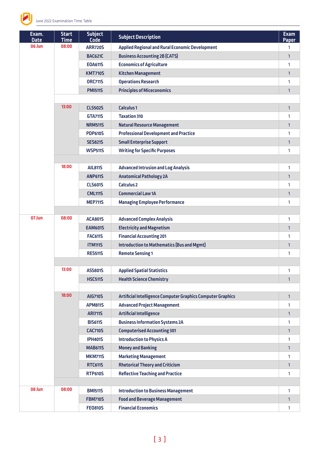

| Exam.<br><b>Date</b> | <b>Start</b><br><b>Time</b> | <b>Subject</b><br><b>Code</b> | <b>Subject Description</b>                                  | <b>Exam</b><br><b>Paper</b> |
|----------------------|-----------------------------|-------------------------------|-------------------------------------------------------------|-----------------------------|
| 06 Jun               | 08:00                       | <b>ARR720S</b>                | <b>Applied Regional and Rural Economic Development</b>      | 1                           |
|                      |                             | <b>BAC621C</b>                | <b>Business Accounting 2B (CATS)</b>                        | $\mathbf{1}$                |
|                      |                             | <b>EOA611S</b>                | <b>Economics of Agriculture</b>                             | 1                           |
|                      |                             | <b>KMT710S</b>                | <b>Kitchen Management</b>                                   | $\mathbf{1}$                |
|                      |                             | <b>ORC711S</b>                | <b>Operations Research</b>                                  | 1                           |
|                      |                             | <b>PMI511S</b>                | <b>Principles of Miceconomics</b>                           | $\mathbf{1}$                |
|                      |                             |                               |                                                             |                             |
|                      | 13:00                       | <b>CLS502S</b>                | <b>Calculus1</b>                                            | $\mathbf{1}$                |
|                      |                             | <b>GTA711S</b>                | <b>Taxation 310</b>                                         | 1                           |
|                      |                             | <b>NRM511S</b>                | <b>Natural Resource Management</b>                          | $\mathbf{1}$                |
|                      |                             | <b>PDP610S</b>                | <b>Professional Development and Practice</b>                | 1                           |
|                      |                             | <b>SES821S</b>                | <b>Small Enterprise Support</b>                             | $\mathbf{1}$                |
|                      |                             | <b>WSP511S</b>                | <b>Writing for Specific Purposes</b>                        | 1                           |
|                      |                             |                               |                                                             |                             |
|                      | 18:00                       | <b>AIL8115</b>                | <b>Advanced Intrusion and Log Analysis</b>                  | 1                           |
|                      |                             | <b>ANP611S</b>                | <b>Anatomical Pathology 2A</b>                              | $\mathbf{1}$                |
|                      |                             | <b>CLS601S</b>                | <b>Calculus 2</b>                                           | 1                           |
|                      |                             | <b>CML1115</b>                | <b>Commercial Law 1A</b>                                    | $\mathbf{1}$                |
|                      |                             | <b>MEP711S</b>                | <b>Managing Employee Performance</b>                        | 1                           |
|                      |                             |                               |                                                             |                             |
| 07 Jun               | 08:00                       | <b>ACA801S</b>                | <b>Advanced Complex Analysis</b>                            | 1                           |
|                      |                             | <b>EAM601S</b>                | <b>Electricity and Magnetism</b>                            | $\mathbf{1}$                |
|                      |                             | <b>FAC611S</b>                | <b>Financial Accounting 201</b>                             | 1                           |
|                      |                             | <b>ITM1115</b>                | <b>Introduction to Mathematics (Bus and Mgmt)</b>           | $\mathbf{1}$                |
|                      |                             | <b>RES511S</b>                | <b>Remote Sensing 1</b>                                     | 1                           |
|                      |                             |                               |                                                             |                             |
|                      | 13:00                       | ASS801S                       | <b>Applied Spatial Statistics</b>                           | 1                           |
|                      |                             | <b>HSC511S</b>                | <b>Health Science Chemistry</b>                             | $\mathbf{1}$                |
|                      |                             |                               |                                                             |                             |
|                      | 18:00                       | <b>AIG710S</b>                | Artificial Intelligence Computer Graphics Computer Graphics | $\mathbf{1}$                |
|                      |                             | <b>APM8115</b>                | <b>Advanced Project Management</b>                          | 1                           |
|                      |                             | <b>ARI7115</b>                | <b>Artificial Intelligence</b>                              | $\mathbf{1}$                |
|                      |                             | <b>BIS611S</b>                | <b>Business Information Systems 2A</b>                      | 1                           |
|                      |                             | <b>CAC710S</b>                | <b>Computerised Accounting 301</b>                          | $\mathbf{1}$                |
|                      |                             | <b>IPH401S</b>                | <b>Introduction to Physics A</b>                            | 1                           |
|                      |                             | <b>MAB611S</b>                | <b>Money and Banking</b>                                    | $\mathbf{1}$                |
|                      |                             | <b>MKM711S</b>                | <b>Marketing Management</b>                                 | 1                           |
|                      |                             | <b>RTC611S</b>                | <b>Rhetorical Theory and Criticism</b>                      | $\mathbf{1}$                |
|                      |                             | <b>RTP610S</b>                | <b>Reflective Teaching and Practice</b>                     | 1                           |
|                      |                             |                               |                                                             |                             |
| 08 Jun               | 08:00                       | <b>BMI511S</b>                | <b>Introduction to Business Management</b>                  | 1                           |
|                      |                             | <b>FBM710S</b>                | <b>Food and Beverage Management</b>                         | 1                           |
|                      |                             | <b>FE0810S</b>                | <b>Financial Economics</b>                                  | 1                           |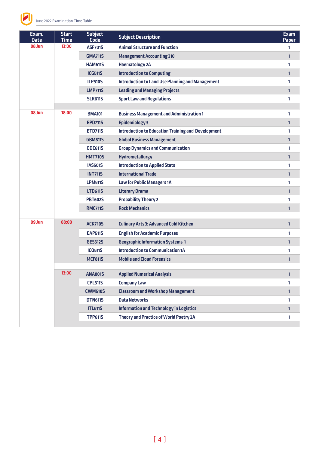

| Exam.<br><b>Date</b> | <b>Start</b><br><b>Time</b> | <b>Subject</b><br><b>Code</b> | <b>Subject Description</b>                                | <b>Exam</b><br><b>Paper</b> |
|----------------------|-----------------------------|-------------------------------|-----------------------------------------------------------|-----------------------------|
| 08 Jun               | 13:00                       | <b>ASF701S</b>                | <b>Animal Structure and Function</b>                      | 1                           |
|                      |                             | <b>GMA711S</b>                | <b>Management Accounting 310</b>                          | $\mathbf{1}$                |
|                      |                             | <b>HAM611S</b>                | <b>Haematology 2A</b>                                     | 1                           |
|                      |                             | <b>ICG511S</b>                | <b>Introduction to Computing</b>                          | $\mathbf{1}$                |
|                      |                             | <b>ILP510S</b>                | <b>Introduction to Land Use Planning and Management</b>   | 1                           |
|                      |                             | <b>LMP711S</b>                | <b>Leading and Managing Projects</b>                      | 1                           |
|                      |                             | <b>SLR611S</b>                | <b>Sport Law and Regulations</b>                          | 1                           |
| 08 Jun               |                             |                               |                                                           |                             |
|                      | 18:00                       | <b>BMA101</b>                 | <b>Business Management and Administration 1</b>           | 1                           |
|                      |                             | <b>EPD711S</b>                | <b>Epidemiology 3</b>                                     | 1                           |
|                      |                             | <b>ETD711S</b>                | <b>Introduction to Education Training and Development</b> | 1                           |
|                      |                             | <b>GBM811S</b>                | <b>Global Business Management</b>                         | $\mathbf{1}$                |
|                      |                             | <b>GDC611S</b>                | <b>Group Dynamics and Communication</b>                   | 1                           |
|                      |                             | <b>HMT710S</b>                | <b>Hydrometallurgy</b>                                    | $\mathbf{1}$                |
|                      |                             | <b>IAS501S</b>                | <b>Introduction to Applied Stats</b>                      | 1                           |
|                      |                             | <b>INT711S</b>                | <b>International Trade</b>                                | 1                           |
|                      |                             | <b>LPM511S</b>                | <b>Law for Public Managers 1A</b>                         | 1                           |
|                      |                             | <b>LTD611S</b>                | <b>Literary Drama</b>                                     | $\mathbf{1}$                |
|                      |                             | <b>PBT602S</b>                | <b>Probability Theory 2</b>                               | 1                           |
|                      |                             | <b>RMC711S</b>                | <b>Rock Mechanics</b>                                     | $\mathbf{1}$                |
| 09 Jun               | 08:00                       | <b>ACK710S</b>                | <b>Culinary Arts 3: Advanced Cold Kitchen</b>             | $\mathbf{1}$                |
|                      |                             | <b>EAP511S</b>                | <b>English for Academic Purposes</b>                      | 1                           |
|                      |                             | <b>GES512S</b>                | <b>Geographic Information Systems 1</b>                   | 1                           |
|                      |                             | <b>ICO511S</b>                | <b>Introduction to Communication 1A</b>                   | 1                           |
|                      |                             | <b>MCF811S</b>                | <b>Mobile and Cloud Forensics</b>                         | 1                           |
|                      |                             |                               |                                                           |                             |
|                      | 13:00                       | <b>ANA801S</b>                | <b>Applied Numerical Analysis</b>                         | $\mathbf{1}$                |
|                      |                             | <b>CPL511S</b>                | <b>Company Law</b>                                        | 1                           |
|                      |                             | <b>CWM510S</b>                | <b>Classroom and Workshop Management</b>                  | $\mathbf{1}$                |
|                      |                             | <b>DTN611S</b>                | <b>Data Networks</b>                                      | 1                           |
|                      |                             | <b>ITL611S</b>                | <b>Information and Technology in Logistics</b>            | $\mathbf{1}$                |
|                      |                             | <b>TPP611S</b>                | Theory and Practice of World Poetry 2A                    | 1                           |
|                      |                             |                               |                                                           |                             |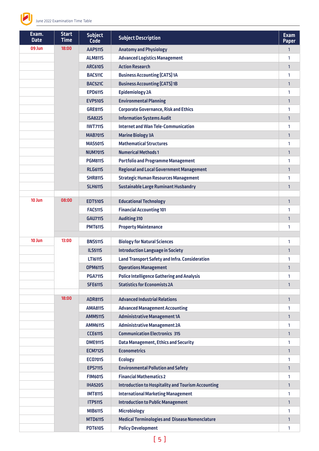

| Exam.<br><b>Date</b> | <b>Start</b><br><b>Time</b> | <b>Subject</b><br><b>Code</b>    | <b>Subject Description</b>                                                  | <b>Exam</b><br><b>Paper</b> |
|----------------------|-----------------------------|----------------------------------|-----------------------------------------------------------------------------|-----------------------------|
| 09 Jun               | 18:00                       | <b>AAP511S</b>                   | <b>Anatomy and Physiology</b>                                               | $\mathbf{1}$                |
|                      |                             | <b>ALM811S</b>                   | <b>Advanced Logistics Management</b>                                        | 1                           |
|                      |                             | <b>ARC610S</b>                   | <b>Action Research</b>                                                      | $\mathbf{1}$                |
|                      |                             | <b>BAC511C</b>                   | <b>Business Accounting (CATS) 1A</b>                                        | 1                           |
|                      |                             | <b>BAC521C</b>                   | <b>Business Accounting (CATS) 1B</b>                                        | $\mathbf{1}$                |
|                      |                             | <b>EPD611S</b>                   | Epidemiology 2A                                                             | 1                           |
|                      |                             | <b>EVP510S</b>                   | <b>Environmental Planning</b>                                               | $\mathbf{1}$                |
|                      |                             | <b>GRE811S</b>                   | <b>Corporate Governance, Risk and Ethics</b>                                | 1                           |
|                      |                             | <b>ISA822S</b>                   | <b>Information Systems Audit</b>                                            | $\mathbf{1}$                |
|                      |                             | <b>IWT711S</b>                   | <b>Internet and Wan Tele-Communication</b>                                  | 1                           |
|                      |                             | <b>MAB701S</b>                   | <b>Marine Biology 3A</b>                                                    | $\mathbf{1}$                |
|                      |                             | <b>MAS501S</b>                   | <b>Mathematical Structures</b>                                              | 1                           |
|                      |                             | <b>NUM701S</b>                   | <b>Numerical Methods 1</b>                                                  | $\mathbf{1}$                |
|                      |                             | <b>PGM811S</b>                   | <b>Portfolio and Programme Management</b>                                   | 1                           |
|                      |                             | <b>RLG611S</b>                   | <b>Regional and Local Government Management</b>                             | $\mathbf{1}$                |
|                      |                             | <b>SHR811S</b>                   | <b>Strategic Human Resources Management</b>                                 | 1                           |
|                      |                             | <b>SLH611S</b>                   | <b>Sustainable Large Ruminant Husbandry</b>                                 | $\mathbf{1}$                |
| 10 Jun               | 08:00                       |                                  |                                                                             |                             |
|                      |                             | <b>EDT510S</b>                   | <b>Educational Technology</b>                                               | $\mathbf{1}$                |
|                      |                             | <b>FAC511S</b>                   | <b>Financial Accounting 101</b>                                             | 1                           |
|                      |                             | <b>GAU711S</b>                   | <b>Auditing 310</b>                                                         | $\mathbf{1}$                |
|                      |                             | <b>PMT611S</b>                   | <b>Property Maintenance</b>                                                 | 1                           |
| 10 Jun               | 13:00                       | <b>BNS511S</b>                   | <b>Biology for Natural Sciences</b>                                         | 1                           |
|                      |                             | <b>ILS511S</b>                   | <b>Introduction Language in Society</b>                                     | $\mathbf{1}$                |
|                      |                             | <b>LT1611S</b>                   | <b>Land Transport Safety and Infra. Consideration</b>                       | 1                           |
|                      |                             | <b>OPM611S</b>                   | <b>Operations Management</b>                                                | $\mathbf{1}$                |
|                      |                             | <b>PGA711S</b>                   | <b>Police Intelligence Gathering and Analysis</b>                           | 1                           |
|                      |                             | <b>SFE611S</b>                   | <b>Statistics for Economists 2A</b>                                         | $\mathbf{1}$                |
|                      |                             |                                  |                                                                             |                             |
|                      | 18:00                       | <b>ADR811S</b>                   | <b>Advanced Industrial Relations</b>                                        | $\mathbf{1}$                |
|                      |                             | <b>AMA811S</b>                   | <b>Advanced Management Accounting</b>                                       | 1                           |
|                      |                             | <b>AMM511S</b>                   | <b>Administrative Management 1A</b>                                         | $\mathbf{1}$                |
|                      |                             | <b>AMM611S</b>                   | <b>Administrative Management 2A</b>                                         | 1                           |
|                      |                             | <b>CCE611S</b>                   | <b>Communication Electronics 315</b>                                        | $\mathbf{1}$                |
|                      |                             | <b>DME911S</b>                   | <b>Data Management, Ethics and Security</b>                                 | 1                           |
|                      |                             | <b>ECM712S</b>                   | <b>Econometrics</b>                                                         | $\mathbf{1}$                |
|                      |                             | <b>EC0701S</b>                   | <b>Ecology</b>                                                              | 1                           |
|                      |                             | <b>EPS711S</b>                   | <b>Environmental Pollution and Safety</b><br><b>Financial Mathematics 2</b> | $\mathbf{1}$                |
|                      |                             | <b>FIM601S</b><br><b>IHA520S</b> | <b>Introduction to Hospitality and Tourism Accounting</b>                   | 1                           |
|                      |                             | <b>IMT811S</b>                   | <b>International Marketing Management</b>                                   | $\mathbf{1}$<br>1           |
|                      |                             | <b>ITP511S</b>                   | <b>Introduction to Public Management</b>                                    | $\mathbf{1}$                |
|                      |                             | <b>MIB611S</b>                   | <b>Microbiology</b>                                                         | 1                           |
|                      |                             | <b>MTD611S</b>                   | <b>Medical Terminologies and Disease Nomenclature</b>                       | $\mathbf{1}$                |
|                      |                             | <b>PDT610S</b>                   | <b>Policy Development</b>                                                   | 1                           |
|                      |                             |                                  |                                                                             |                             |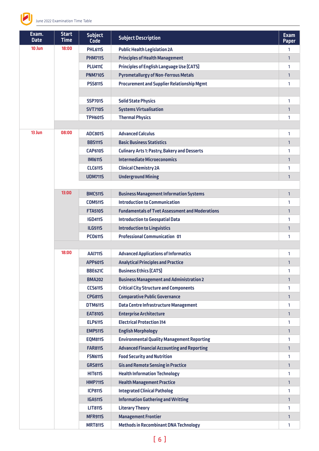

| Exam.<br><b>Date</b> | <b>Start</b><br><b>Time</b> | <b>Subject</b><br><b>Code</b> | <b>Subject Description</b>                             | <b>Exam</b><br><b>Paper</b> |
|----------------------|-----------------------------|-------------------------------|--------------------------------------------------------|-----------------------------|
| 10 Jun               | 18:00                       | <b>PHL611S</b>                | <b>Public Health Legislation 2A</b>                    | 1                           |
|                      |                             | <b>PHM711S</b>                | <b>Principles of Health Management</b>                 | $\mathbf{1}$                |
|                      |                             | <b>PLU411C</b>                | <b>Principles of English Language Use (CATS)</b>       | 1                           |
|                      |                             | <b>PNM710S</b>                | <b>Pyrometallurgy of Non-Ferrous Metals</b>            | $\mathbf{1}$                |
|                      |                             | <b>PSS811S</b>                | <b>Procurement and Supplier Relationship Mgmt</b>      | 1                           |
|                      |                             |                               |                                                        |                             |
|                      |                             | <b>SSP701S</b>                | <b>Solid State Physics</b>                             | 1                           |
|                      |                             | <b>SVT710S</b>                | <b>Systems Virtualisation</b>                          | $\mathbf{1}$                |
|                      |                             | <b>TPH601S</b>                | <b>Thermal Physics</b>                                 | 1                           |
|                      |                             |                               |                                                        |                             |
| 13 Jun               | 08:00                       | <b>ADC801S</b>                | <b>Advanced Calculus</b>                               | 1                           |
|                      |                             | <b>BBS1115</b>                | <b>Basic Business Statistics</b>                       | 1                           |
|                      |                             | <b>CAP610S</b>                | <b>Culinary Arts 1: Pastry, Bakery and Desserts</b>    | 1                           |
|                      |                             | <b>IMI611S</b>                | <b>Intermediate Microeconomics</b>                     | $\mathbf{1}$                |
|                      |                             | <b>CLC611S</b>                | <b>Clinical Chemistry 2A</b>                           | 1                           |
|                      |                             | <b>UDM711S</b>                | <b>Underground Mining</b>                              | $\mathbf{1}$                |
|                      |                             |                               |                                                        |                             |
|                      | 13:00                       | <b>BMC511S</b>                | <b>Business Management Information Systems</b>         | 1                           |
|                      |                             | <b>COM511S</b>                | <b>Introduction to Communication</b>                   | 1                           |
|                      |                             | <b>FTA510S</b>                | <b>Fundamentals of Tvet Assessment and Moderations</b> | $\mathbf{1}$                |
|                      |                             | <b>IGD411S</b>                | <b>Introduction to Geospatial Data</b>                 | 1                           |
|                      |                             | <b>ILG511S</b>                | <b>Introduction to Linguistics</b>                     | $\mathbf{1}$                |
|                      |                             | <b>PC0611S</b>                | <b>Professional Communication 01</b>                   | 1                           |
|                      |                             |                               |                                                        |                             |
|                      | 18:00                       | <b>AAI711S</b>                | <b>Advanced Applications of Informatics</b>            | 1                           |
|                      |                             | <b>APP601S</b>                | <b>Analytical Principles and Practice</b>              | $\mathbf{1}$                |
|                      |                             | <b>BBE621C</b>                | <b>Business Ethics (CATS)</b>                          | 1                           |
|                      |                             | <b>BMA202</b>                 | <b>Business Management and Administration 2</b>        | $\mathbf{1}$                |
|                      |                             | <b>CCS611S</b>                | <b>Critical City Structure and Components</b>          | 1                           |
|                      |                             | <b>CPG811S</b>                | <b>Comparative Public Governance</b>                   | $\mathbf{1}$                |
|                      |                             | <b>DTM611S</b>                | Data Centre Infrastructure Management                  | 1                           |
|                      |                             | <b>EAT810S</b>                | <b>Enterprise Architecture</b>                         | $\mathbf{1}$                |
|                      |                             | <b>ELP611S</b>                | <b>Electrical Protection 314</b>                       | 1                           |
|                      |                             | <b>EMP511S</b>                | <b>English Morphology</b>                              | $\mathbf{1}$                |
|                      |                             | <b>EQM811S</b>                | <b>Environmental Quality Management Reporting</b>      | 1                           |
|                      |                             | <b>FAR8115</b>                | <b>Advanced Financial Accounting and Reporting</b>     | $\mathbf{1}$                |
|                      |                             | <b>FSN611S</b>                | <b>Food Security and Nutrition</b>                     | 1                           |
|                      |                             | <b>GRS811S</b>                | <b>Gis and Remote Sensing in Practice</b>              | $\mathbf{1}$                |
|                      |                             | <b>HIT611S</b>                | <b>Health Information Technology</b>                   | 1                           |
|                      |                             | <b>HMP711S</b>                | <b>Health Management Practice</b>                      | $\mathbf{1}$                |
|                      |                             | <b>ICP811S</b>                | <b>Integrated Clinical Patholog</b>                    | 1                           |
|                      |                             | <b>IGA511S</b>                | <b>Information Gathering and Writting</b>              | $\mathbf{1}$                |
|                      |                             | <b>LIT8115</b>                | <b>Literary Theory</b>                                 | 1                           |
|                      |                             | <b>MFR911S</b>                | <b>Management Frontier</b>                             | $\mathbf{1}$                |
|                      |                             | <b>MRT811S</b>                | <b>Methods in Recombinant DNA Technology</b>           | 1                           |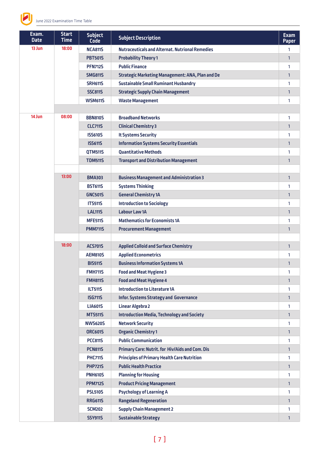

| Exam.<br><b>Date</b> | <b>Start</b><br><b>Time</b> | <b>Subject</b><br><b>Code</b> | <b>Subject Description</b>                              | <b>Exam</b><br><b>Paper</b> |
|----------------------|-----------------------------|-------------------------------|---------------------------------------------------------|-----------------------------|
| 13 Jun               | 18:00                       | <b>NCA811S</b>                | <b>Nutraceuticals and Alternat. Nutrional Remedies</b>  | 1                           |
|                      |                             | <b>PBT501S</b>                | <b>Probability Theory 1</b>                             | $\mathbf{1}$                |
|                      |                             | <b>PFN712S</b>                | <b>Public Finance</b>                                   | 1                           |
|                      |                             | <b>SMG811S</b>                | <b>Strategic Marketing Management: ANA, Plan and De</b> | $\mathbf{1}$                |
|                      |                             | <b>SRH611S</b>                | <b>Sustainable Small Ruminant Husbandry</b>             | 1                           |
|                      |                             | <b>SSC811S</b>                | <b>Strategic Supply Chain Management</b>                | $\mathbf{1}$                |
|                      |                             | <b>WSM611S</b>                | <b>Waste Management</b>                                 | 1                           |
|                      |                             |                               |                                                         |                             |
| 14 Jun               | 08:00                       | <b>BBN810S</b>                | <b>Broadband Networks</b>                               | 1                           |
|                      |                             | <b>CLC711S</b>                | <b>Clinical Chemistry 3</b>                             | $\mathbf{1}$                |
|                      |                             | <b>ISS610S</b>                | <b>It Systems Security</b>                              | 1                           |
|                      |                             | <b>ISS611S</b>                | <b>Information Systems Security Essentials</b>          | $\mathbf{1}$                |
|                      |                             | <b>QTM511S</b>                | <b>Quantitative Methods</b>                             | 1                           |
|                      |                             | <b>TDM511S</b>                | <b>Transport and Distribution Management</b>            | $\mathbf{1}$                |
|                      |                             |                               |                                                         |                             |
|                      | 13:00                       | <b>BMA303</b>                 | <b>Business Management and Administration 3</b>         | $\mathbf{1}$                |
|                      |                             | <b>BST611S</b>                | <b>Systems Thinking</b>                                 | 1                           |
|                      |                             | <b>GNC501S</b>                | <b>General Chemistry 1A</b>                             | $\mathbf{1}$                |
|                      |                             | <b>ITS511S</b>                | <b>Introduction to Sociology</b>                        | 1                           |
|                      |                             | <b>LAL1115</b>                | <b>Labour Law 1A</b>                                    | $\mathbf{1}$                |
|                      |                             | <b>MFE511S</b>                | <b>Mathematics for Economists 1A</b>                    | 1                           |
|                      |                             | <b>PMM711S</b>                | <b>Procurement Management</b>                           | $\mathbf{1}$                |
|                      |                             |                               |                                                         |                             |
|                      | 18:00                       | <b>ACS701S</b>                | <b>Applied Colloid and Surface Chemistry</b>            | $\mathbf{1}$                |
|                      |                             | <b>AEM810S</b>                | <b>Applied Econometrics</b>                             | 1                           |
|                      |                             | <b>BIS511S</b>                | <b>Business Information Systems 1A</b>                  | $\mathbf{1}$                |
|                      |                             | <b>FMH7115</b>                | <b>Food and Meat Hygiene 3</b>                          | 1                           |
|                      |                             | <b>FMH811S</b>                | <b>Food and Meat Hygiene 4</b>                          | 1                           |
|                      |                             | <b>ILT511S</b>                | <b>Introduction to Literature 1A</b>                    | 1                           |
|                      |                             | <b>ISG711S</b>                | <b>Infor. Systems Strategy and Governance</b>           | $\mathbf{1}$                |
|                      |                             | <b>LIA601S</b>                | <b>Linear Algebra 2</b>                                 | 1                           |
|                      |                             | <b>MTS511S</b>                | <b>Introduction Media, Technology and Society</b>       | $\mathbf{1}$                |
|                      |                             | <b>NWS620S</b>                | <b>Network Security</b>                                 | 1                           |
|                      |                             | <b>ORC601S</b>                | <b>Organic Chemistry 1</b>                              | $\mathbf{1}$                |
|                      |                             | <b>PCC811S</b>                | <b>Public Communication</b>                             | 1                           |
|                      |                             | <b>PCN8115</b>                | Primary Care: Nutrit. for Hiv/Aids and Com. Dis         | $\mathbf{1}$                |
|                      |                             | <b>PHC711S</b>                | <b>Principles of Primary Health Care Nutrition</b>      | 1                           |
|                      |                             | <b>PHP721S</b>                | <b>Public Health Practice</b>                           | $\mathbf{1}$                |
|                      |                             | <b>PNH610S</b>                | <b>Planning for Housing</b>                             | 1                           |
|                      |                             | <b>PPM712S</b>                | <b>Product Pricing Management</b>                       | $\mathbf{1}$                |
|                      |                             | <b>PSL510S</b>                | <b>Psychology of Learning A</b>                         | 1                           |
|                      |                             | <b>RRG611S</b>                | <b>Rangeland Regeneration</b>                           | $\mathbf{1}$                |
|                      |                             | <b>SCM202</b>                 | <b>Supply Chain Management 2</b>                        | 1                           |
|                      |                             | <b>SSY911S</b>                | <b>Sustainable Strategy</b>                             | $\mathbf{1}$                |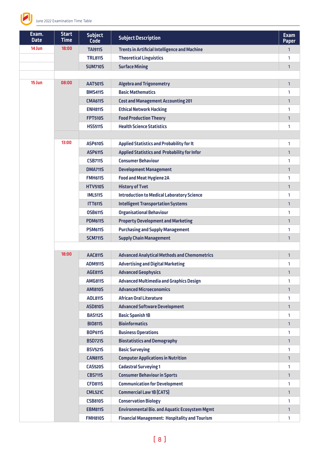

| Exam.<br><b>Date</b> | <b>Start</b><br><b>Time</b> | <b>Subject</b><br><b>Code</b> | <b>Subject Description</b>                           | <b>Exam</b><br><b>Paper</b> |
|----------------------|-----------------------------|-------------------------------|------------------------------------------------------|-----------------------------|
| 14 Jun               | 18:00                       | <b>TAI911S</b>                | <b>Trents in Artificial Intelligence and Machine</b> | 1                           |
|                      |                             | <b>TRL8115</b>                | <b>Theoretical Linguistics</b>                       | 1                           |
|                      |                             | <b>SUM710S</b>                | <b>Surface Mining</b>                                | $\mathbf{1}$                |
|                      |                             |                               |                                                      |                             |
| 15 Jun               | 08:00                       | <b>AAT501S</b>                | <b>Algebra and Trigonometry</b>                      | $\mathbf{1}$                |
|                      |                             | <b>BMS411S</b>                | <b>Basic Mathematics</b>                             | 1                           |
|                      |                             | <b>CMA611S</b>                | <b>Cost and Management Accounting 201</b>            | $\mathbf{1}$                |
|                      |                             | <b>ENH811S</b>                | <b>Ethical Network Hacking</b>                       | 1                           |
|                      |                             | <b>FPT510S</b>                | <b>Food Production Theory</b>                        | $\mathbf{1}$                |
|                      |                             | <b>HSS511S</b>                | <b>Health Science Statistics</b>                     | 1                           |
|                      |                             |                               |                                                      |                             |
|                      | 13:00                       | <b>ASP610S</b>                | <b>Applied Statistics and Probability for It</b>     | 1                           |
|                      |                             | <b>ASP611S</b>                | <b>Applied Statistics and Probability for Infor</b>  | $\mathbf{1}$                |
|                      |                             | <b>CSB711S</b>                | <b>Consumer Behaviour</b>                            | 1                           |
|                      |                             | <b>DMA711S</b>                | <b>Development Management</b>                        | $\mathbf{1}$                |
|                      |                             | <b>FMH611S</b>                | <b>Food and Meat Hygiene 2A</b>                      | 1                           |
|                      |                             | <b>HTV510S</b>                | <b>History of Tvet</b>                               | $\mathbf{1}$                |
|                      |                             | <b>IML511S</b>                | <b>Introduction to Medical Laboratory Science</b>    | 1                           |
|                      |                             | <b>ITT6115</b>                | <b>Intelligent Transportation Systems</b>            | $\mathbf{1}$                |
|                      |                             | <b>OSB611S</b>                | <b>Organisational Behaviour</b>                      | 1                           |
|                      |                             | <b>PDM611S</b>                | <b>Property Development and Marketing</b>            | $\mathbf{1}$                |
|                      |                             | <b>PSM611S</b>                | <b>Purchasing and Supply Management</b>              | 1                           |
|                      |                             | <b>SCM711S</b>                | <b>Supply Chain Management</b>                       | 1                           |
|                      |                             |                               |                                                      |                             |
|                      | 18:00                       | <b>AAC811S</b>                | <b>Advanced Analytical Methods and Chemometrics</b>  | $\mathbf{1}$                |
|                      |                             | <b>ADM911S</b>                | <b>Advertising and Digital Marketing</b>             | 1                           |
|                      |                             | <b>AGE811S</b>                | <b>Advanced Geophysics</b>                           | $\mathbf{1}$                |
|                      |                             | <b>AMG811S</b>                | <b>Advanced Multimedia and Graphics Design</b>       | 1                           |
|                      |                             | <b>AMI810S</b>                | <b>Advanced Microeconomics</b>                       | $\mathbf{1}$                |
|                      |                             | <b>AOL8115</b>                | <b>African Oral Literature</b>                       | 1                           |
|                      |                             | <b>ASD810S</b>                | <b>Advanced Software Development</b>                 | $\mathbf{1}$                |
|                      |                             | <b>BAS112S</b>                | <b>Basic Spanish 1B</b>                              | 1                           |
|                      |                             | <b>BIO8115</b>                | <b>Bioinformatics</b>                                | $\mathbf{1}$                |
|                      |                             | <b>BOP6115</b>                | <b>Business Operations</b>                           | 1                           |
|                      |                             | <b>BSD721S</b>                | <b>Biostatistics and Demography</b>                  | $\mathbf{1}$                |
|                      |                             | <b>BSV521S</b>                | <b>Basic Surveying</b>                               | 1                           |
|                      |                             | <b>CAN811S</b>                | <b>Computer Applications in Nutrition</b>            | $\mathbf{1}$                |
|                      |                             | <b>CAS520S</b>                | <b>Cadastral Surveying 1</b>                         | 1                           |
|                      |                             | <b>CBS711S</b>                | <b>Consumer Behaviour in Sports</b>                  | $\mathbf{1}$                |
|                      |                             | <b>CFD811S</b>                | <b>Communication for Development</b>                 | 1                           |
|                      |                             | <b>CML521C</b>                | <b>Commercial Law 1B (CATS)</b>                      | $\mathbf{1}$                |
|                      |                             | <b>CSB810S</b>                | <b>Conservation Biology</b>                          | 1                           |
|                      |                             | <b>EBM811S</b>                | <b>Environmental Bio. and Aquatic Ecosystem Mgmt</b> | 1                           |
|                      |                             | <b>FMH810S</b>                | <b>Financial Management: Hospitality and Tourism</b> | 1                           |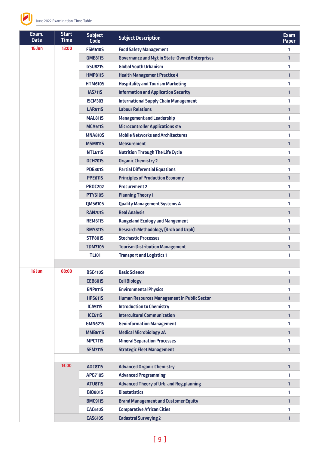

| Exam.<br><b>Date</b> | <b>Start</b><br><b>Time</b> | <b>Subject</b><br>Code | <b>Subject Description</b>                           | <b>Exam</b><br><b>Paper</b> |
|----------------------|-----------------------------|------------------------|------------------------------------------------------|-----------------------------|
| 15 Jun               | 18:00                       | <b>FSM610S</b>         | <b>Food Safety Management</b>                        | 1                           |
|                      |                             | <b>GME811S</b>         | <b>Governance and Mgt in State-Owned Enterprises</b> | 1                           |
|                      |                             | <b>GSU821S</b>         | <b>Global South Urbanism</b>                         | 1                           |
|                      |                             | <b>HMP811S</b>         | <b>Health Management Practice 4</b>                  | $\mathbf{1}$                |
|                      |                             | <b>HTM610S</b>         | <b>Hospitality and Tourism Marketing</b>             | 1                           |
|                      |                             | <b>IAS711S</b>         | <b>Information and Application Security</b>          | $\mathbf{1}$                |
|                      |                             | <b>ISCM303</b>         | <b>International Supply Chain Management</b>         | 1                           |
|                      |                             | <b>LAR911S</b>         | <b>Labour Relations</b>                              | 1                           |
|                      |                             | <b>MAL811S</b>         | <b>Management and Leadership</b>                     | 1                           |
|                      |                             | <b>MCA611S</b>         | <b>Microcontroller Applications 315</b>              | $\mathbf{1}$                |
|                      |                             | <b>MNA810S</b>         | <b>Mobile Networks and Architectures</b>             | 1                           |
|                      |                             | <b>MSM811S</b>         | <b>Measurement</b>                                   | $\mathbf{1}$                |
|                      |                             | <b>NTL611S</b>         | <b>Nutrition Through The Life Cycle</b>              | 1                           |
|                      |                             | <b>OCH701S</b>         | <b>Organic Chemistry 2</b>                           | 1                           |
|                      |                             | <b>PDE801S</b>         | <b>Partial Differential Equations</b>                | 1                           |
|                      |                             | <b>PPE611S</b>         | <b>Principles of Production Economy</b>              | $\mathbf{1}$                |
|                      |                             | <b>PROC202</b>         | <b>Procurement 2</b>                                 | 1                           |
|                      |                             | <b>PTY510S</b>         | <b>Planning Theory 1</b>                             | $\mathbf{1}$                |
|                      |                             | <b>QMS610S</b>         | <b>Quality Management Systems A</b>                  | 1                           |
|                      |                             | <b>RAN701S</b>         | <b>Real Analysis</b>                                 | 1                           |
|                      |                             | <b>REM611S</b>         | <b>Rangeland Ecology and Mangement</b>               | 1                           |
|                      |                             | <b>RMY8115</b>         | <b>Research Methodology (Rrdh and Urph)</b>          | $\mathbf{1}$                |
|                      |                             | <b>STP801S</b>         | <b>Stochastic Processes</b>                          | 1                           |
|                      |                             | <b>TDM710S</b>         | <b>Tourism Distribution Management</b>               | 1                           |
|                      |                             | <b>TL101</b>           | <b>Transport and Logistics 1</b>                     | 1                           |
|                      |                             |                        |                                                      |                             |
| 16 Jun               | 08:00                       | <b>BSC410S</b>         | <b>Basic Science</b>                                 | 1                           |
|                      |                             | <b>CEB601S</b>         | <b>Cell Biology</b>                                  | 1                           |
|                      |                             | <b>ENP811S</b>         | <b>Environmental Physics</b>                         | 1                           |
|                      |                             | <b>HPS611S</b>         | Human Resources Management in Public Sector          | $\mathbf{1}$                |
|                      |                             | <b>ICA511S</b>         | <b>Introduction to Chemistry</b>                     | 1                           |
|                      |                             | <b>ICC511S</b>         | <b>Intercultural Communication</b>                   | 1                           |
|                      |                             | <b>GMN621S</b>         | <b>Geoinformation Management</b>                     | 1                           |
|                      |                             | <b>MMB611S</b>         | <b>Medical Microbiology 2A</b>                       | 1                           |
|                      |                             | <b>MPC711S</b>         | <b>Mineral Separation Processes</b>                  | 1                           |
|                      |                             | <b>SFM711S</b>         | <b>Strategic Fleet Management</b>                    | $\mathbf{1}$                |
|                      |                             |                        |                                                      |                             |
|                      | 13:00                       | AOC811S                | <b>Advanced Organic Chemistry</b>                    | $\mathbf{1}$                |
|                      |                             | <b>APG710S</b>         | <b>Advanced Programming</b>                          | 1                           |
|                      |                             | <b>ATU811S</b>         | <b>Advanced Theory of Urb. and Reg.planning</b>      | 1                           |
|                      |                             | <b>BIO801S</b>         | <b>Biostatistics</b>                                 | 1                           |
|                      |                             | <b>BMC911S</b>         | <b>Brand Management and Customer Equity</b>          | $\mathbf{1}$                |
|                      |                             | <b>CAC610S</b>         | <b>Comparative African Cities</b>                    | 1                           |
|                      |                             | <b>CAS610S</b>         | <b>Cadastral Surveying 2</b>                         | 1                           |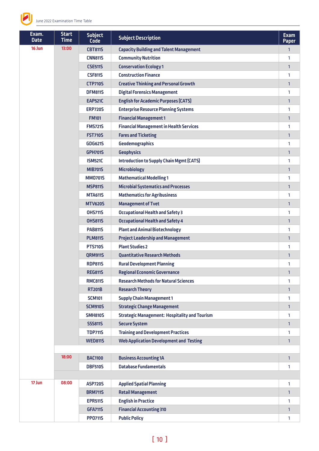

| Exam.<br><b>Date</b> | <b>Start</b><br><b>Time</b> | <b>Subject</b><br><b>Code</b> | <b>Subject Description</b>                           | <b>Exam</b><br><b>Paper</b> |
|----------------------|-----------------------------|-------------------------------|------------------------------------------------------|-----------------------------|
| 16 Jun               | 13:00                       | <b>CBT811S</b>                | <b>Capacity Building and Talent Management</b>       | $\mathbf{1}$                |
|                      |                             | <b>CNN811S</b>                | <b>Community Nutrition</b>                           | 1                           |
|                      |                             | <b>CSE511S</b>                | <b>Conservation Ecology 1</b>                        | $\mathbf{1}$                |
|                      |                             | <b>CSF811S</b>                | <b>Construction Finance</b>                          | 1                           |
|                      |                             | <b>CTP710S</b>                | <b>Creative Thinking and Personal Growth</b>         | $\mathbf{1}$                |
|                      |                             | <b>DFM811S</b>                | <b>Digital Forensics Management</b>                  | 1                           |
|                      |                             | <b>EAP521C</b>                | <b>English for Academic Purposes (CATS)</b>          | $\mathbf{1}$                |
|                      |                             | <b>ERP720S</b>                | <b>Enterprise Resource Planning Systems</b>          | 1                           |
|                      |                             | <b>FM101</b>                  | <b>Financial Management 1</b>                        | 1                           |
|                      |                             | <b>FMS721S</b>                | <b>Financial Management in Health Services</b>       | 1                           |
|                      |                             | <b>FST710S</b>                | <b>Fares and Ticketing</b>                           | $\mathbf{1}$                |
|                      |                             | <b>GDG621S</b>                | <b>Geodemographics</b>                               | 1                           |
|                      |                             | <b>GPH701S</b>                | <b>Geophysics</b>                                    | $\mathbf{1}$                |
|                      |                             | <b>ISM521C</b>                | <b>Introduction to Supply Chain Mgmt (CATS)</b>      | 1                           |
|                      |                             | <b>MIB701S</b>                | <b>Microbiology</b>                                  | 1                           |
|                      |                             | <b>MM0701S</b>                | <b>Mathematical Modelling 1</b>                      | 1                           |
|                      |                             | <b>MSP811S</b>                | <b>Microbial Systematics and Processes</b>           | $\mathbf{1}$                |
|                      |                             | <b>MTA611S</b>                | <b>Mathematics for Agribusiness</b>                  | 1                           |
|                      |                             | <b>MTV620S</b>                | <b>Management of Tvet</b>                            | $\mathbf{1}$                |
|                      |                             | <b>OHS711S</b>                | <b>Occupational Health and Safety 3</b>              | 1                           |
|                      |                             | <b>OHS811S</b>                | <b>Occupational Health and Safety 4</b>              | 1                           |
|                      |                             | <b>PAB811S</b>                | <b>Plant and Animal Biotechnology</b>                | 1                           |
|                      |                             | <b>PLM811S</b>                | <b>Project Leadership and Management</b>             | $\mathbf{1}$                |
|                      |                             | <b>PTS710S</b>                | <b>Plant Studies 2</b>                               | 1                           |
|                      |                             | <b>QRM911S</b>                | <b>Quantitative Research Methods</b>                 | $\mathbf{1}$                |
|                      |                             | <b>RDP811S</b>                | <b>Rural Development Planning</b>                    | 1                           |
|                      |                             | <b>REG811S</b>                | <b>Regional Economic Governance</b>                  | 1                           |
|                      |                             | <b>RMC811S</b>                | <b>Research Methods for Natural Sciences</b>         | 1                           |
|                      |                             | <b>RT201B</b>                 | <b>Research Theory</b>                               | $\mathbf{1}$                |
|                      |                             | <b>SCM101</b>                 | <b>Supply Chain Management 1</b>                     | 1                           |
|                      |                             | <b>SCM910S</b>                | <b>Strategic Change Management</b>                   | $\mathbf{1}$                |
|                      |                             | <b>SMH810S</b>                | <b>Strategic Management: Hospitality and Tourism</b> | 1                           |
|                      |                             | <b>SSS811S</b>                | <b>Secure System</b>                                 | 1                           |
|                      |                             | <b>TDP711S</b>                | <b>Training and Development Practices</b>            | 1                           |
|                      |                             | <b>WED811S</b>                | <b>Web Application Development and Testing</b>       | $\mathbf{1}$                |
|                      |                             |                               |                                                      |                             |
|                      | 18:00                       | <b>BAC1100</b>                | <b>Business Accounting 1A</b>                        | $\mathbf{1}$                |
|                      |                             | <b>DBF510S</b>                | <b>Database Fundamentals</b>                         | 1                           |
|                      |                             |                               |                                                      |                             |
| 17 Jun               | 08:00                       | <b>ASP720S</b>                | <b>Applied Spatial Planning</b>                      | $\mathbf{1}$                |
|                      |                             | <b>BRM711S</b>                | <b>Retail Management</b>                             | $\mathbf{1}$                |
|                      |                             | <b>EPR511S</b>                | <b>English in Practice</b>                           | 1                           |
|                      |                             | <b>GFA711S</b>                | <b>Financial Accounting 310</b>                      | $\mathbf{1}$                |
|                      |                             | <b>PP0711S</b>                | <b>Public Policy</b>                                 | 1                           |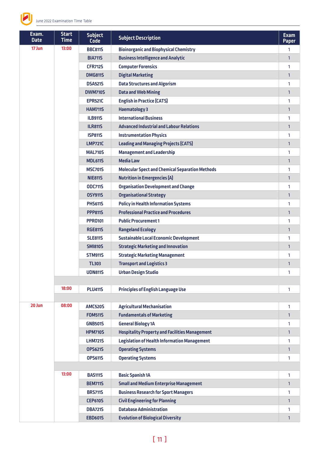

| Exam.<br><b>Date</b> | <b>Start</b><br><b>Time</b> | <b>Subject</b><br><b>Code</b> | <b>Subject Description</b>                             | <b>Exam</b><br><b>Paper</b> |
|----------------------|-----------------------------|-------------------------------|--------------------------------------------------------|-----------------------------|
| 17 Jun               | 13:00                       | <b>BBC811S</b>                | <b>Bioinorganic and Biophysical Chemistry</b>          | 1                           |
|                      |                             | <b>BIA711S</b>                | <b>Business Intelligence and Analytic</b>              | $\mathbf{1}$                |
|                      |                             | <b>CFR712S</b>                | <b>Computer Forensics</b>                              | 1                           |
|                      |                             | <b>DMG811S</b>                | <b>Digital Marketing</b>                               | $\mathbf{1}$                |
|                      |                             | <b>DSA521S</b>                | <b>Data Structures and Algorism</b>                    | 1                           |
|                      |                             | <b>DWM710S</b>                | <b>Data and Web Mining</b>                             | $\mathbf{1}$                |
|                      |                             | <b>EPR521C</b>                | <b>English in Practice (CATS)</b>                      | 1                           |
|                      |                             | <b>HAM711S</b>                | <b>Haematology 3</b>                                   | $\mathbf{1}$                |
|                      |                             | <b>ILB911S</b>                | <b>International Business</b>                          | 1                           |
|                      |                             | <b>ILR811S</b>                | <b>Advanced Industrial and Labour Relations</b>        | $\mathbf{1}$                |
|                      |                             | <b>ISP811S</b>                | <b>Instrumentation Physics</b>                         | 1                           |
|                      |                             | <b>LMP721C</b>                | <b>Leading and Managing Projects (CATS)</b>            | $\mathbf{1}$                |
|                      |                             | <b>MAL710S</b>                | <b>Management and Leadership</b>                       | 1                           |
|                      |                             | <b>MDL611S</b>                | <b>Media Law</b>                                       | $\mathbf{1}$                |
|                      |                             | <b>MSC701S</b>                | <b>Molecular Spect and Chemical Separation Methods</b> | 1                           |
|                      |                             | <b>NIE8115</b>                | <b>Nutrition in Emergencies (A)</b>                    | $\mathbf{1}$                |
|                      |                             | <b>ODC711S</b>                | <b>Organisation Development and Change</b>             | 1                           |
|                      |                             | <b>OSY911S</b>                | <b>Organisational Strategy</b>                         | $\mathbf{1}$                |
|                      |                             | <b>PHS611S</b>                | <b>Policy in Health Information Systems</b>            | 1                           |
|                      |                             | <b>PPP811S</b>                | <b>Professional Practice and Procedures</b>            | $\mathbf{1}$                |
|                      |                             | <b>PPR0101</b>                | <b>Public Procurement 1</b>                            | 1                           |
|                      |                             | <b>RGE811S</b>                | <b>Rangeland Ecology</b>                               | $\mathbf{1}$                |
|                      |                             | <b>SLE811S</b>                | <b>Sustainable Local Economic Development</b>          | 1                           |
|                      |                             | <b>SMI810S</b>                | <b>Strategic Marketing and Innovation</b>              | $\mathbf{1}$                |
|                      |                             | <b>STM911S</b>                | <b>Strategic Marketing Management</b>                  | 1                           |
|                      |                             | <b>TL303</b>                  | <b>Transport and Logistics 3</b>                       | 1                           |
|                      |                             | <b>UDN811S</b>                | <b>Urban Design Studio</b>                             | T.                          |
|                      |                             |                               |                                                        |                             |
|                      | 18:00                       | <b>PLU411S</b>                | <b>Principles of English Language Use</b>              | 1                           |
|                      |                             |                               |                                                        |                             |
| 20 Jun               | 08:00                       | <b>AMC520S</b>                | <b>Agricultural Mechanisation</b>                      | 1                           |
|                      |                             | <b>FOM511S</b>                | <b>Fundamentals of Marketing</b>                       | $\mathbf{1}$                |
|                      |                             | <b>GNB501S</b>                | <b>General Biology 1A</b>                              | 1                           |
|                      |                             | <b>HPM710S</b>                | <b>Hospitality Property and Facilities Management</b>  | 1                           |
|                      |                             | <b>LHM721S</b>                | <b>Legislation of Health Information Management</b>    | 1                           |
|                      |                             | <b>OPS621S</b>                | <b>Operating Systems</b>                               | $\mathbf{1}$                |
|                      |                             | <b>OPS611S</b>                | <b>Operating Systems</b>                               | 1                           |
|                      |                             |                               |                                                        |                             |
|                      | 13:00                       | <b>BAS111S</b>                | <b>Basic Spanish 1A</b>                                | 1                           |
|                      |                             | <b>BEM711S</b>                | <b>Small and Medium Enterprise Management</b>          | 1                           |
|                      |                             | <b>BRS711S</b>                | <b>Business Research for Sport Managers</b>            | 1                           |
|                      |                             | <b>CEP610S</b>                | <b>Civil Engineering for Planning</b>                  | 1                           |
|                      |                             | <b>DBA721S</b>                | <b>Database Administration</b>                         | 1                           |
|                      |                             | <b>EBD601S</b>                | <b>Evolution of Biological Diversity</b>               | 1                           |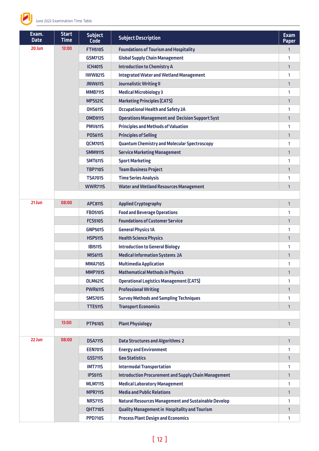

| Exam.<br><b>Date</b> | <b>Start</b><br><b>Time</b> | <b>Subject</b><br><b>Code</b> | <b>Subject Description</b>                                  | <b>Exam</b><br><b>Paper</b> |
|----------------------|-----------------------------|-------------------------------|-------------------------------------------------------------|-----------------------------|
| 20 Jun               | 13:00                       | <b>FTH510S</b>                | <b>Foundations of Tourism and Hospitality</b>               | $\mathbf{1}$                |
|                      |                             | <b>GSM712S</b>                | <b>Global Supply Chain Management</b>                       | 1                           |
|                      |                             | <b>ICH401S</b>                | <b>Introduction to Chemistry A</b>                          | 1                           |
|                      |                             | <b>IWW821S</b>                | <b>Integrated Water and Wetland Management</b>              | 1                           |
|                      |                             | <b>JNW611S</b>                | <b>Journalistic Writing II</b>                              | 1                           |
|                      |                             | <b>MMB711S</b>                | <b>Medical Microbiology 3</b>                               | 1                           |
|                      |                             | <b>MPS521C</b>                | <b>Marketing Principles (CATS)</b>                          | $\mathbf{1}$                |
|                      |                             | <b>OHS611S</b>                | <b>Occupational Health and Safety 2A</b>                    | 1                           |
|                      |                             | <b>OMD911S</b>                | <b>Operations Management and Decision Support Syst</b>      | 1                           |
|                      |                             | <b>PMV611S</b>                | <b>Principles and Methods of Valuation</b>                  | 1                           |
|                      |                             | <b>POS611S</b>                | <b>Principles of Selling</b>                                | 1                           |
|                      |                             | <b>QCM701S</b>                | <b>Quantum Chemistry and Molecular Spectroscopy</b>         | 1                           |
|                      |                             | <b>SMM911S</b>                | <b>Service Marketing Management</b>                         | $\mathbf{1}$                |
|                      |                             | <b>SMT611S</b>                | <b>Sport Marketing</b>                                      | 1                           |
|                      |                             | <b>TBP710S</b>                | <b>Team Business Project</b>                                | 1                           |
|                      |                             | <b>TSA701S</b>                | <b>Time Series Analysis</b>                                 | 1                           |
|                      |                             | <b>WWR711S</b>                | <b>Water and Wetland Resources Management</b>               | 1                           |
|                      |                             |                               |                                                             |                             |
| 21 Jun               | 08:00                       | <b>APC8115</b>                | <b>Applied Cryptography</b>                                 | $\mathbf{1}$                |
|                      |                             | <b>FB0510S</b>                | <b>Food and Beverage Operations</b>                         | 1                           |
|                      |                             | <b>FCS510S</b>                | <b>Foundations of Customer Service</b>                      | 1                           |
|                      |                             | <b>GNP501S</b>                | <b>General Physics 1A</b>                                   | 1                           |
|                      |                             | <b>HSP511S</b>                | <b>Health Science Physics</b>                               | 1                           |
|                      |                             | <b>IBI511S</b>                | <b>Introduction to General Biology</b>                      | 1                           |
|                      |                             | <b>MIS611S</b>                | <b>Medical Information Systems 2A</b>                       | $\mathbf{1}$                |
|                      |                             | <b>MMA710S</b>                | <b>Multimedia Application</b>                               | 1                           |
|                      |                             | <b>MMP701S</b>                | <b>Mathematical Methods in Physics</b>                      | 1                           |
|                      |                             | <b>OLM621C</b>                | <b>Operational Logistics Management (CATS)</b>              | 1                           |
|                      |                             | <b>PWR6115</b>                | <b>Professional Writing</b>                                 | $\mathbf{1}$                |
|                      |                             | <b>SMS701S</b>                | <b>Survey Methods and Sampling Techniques</b>               | 1                           |
|                      |                             | <b>TTE511S</b>                | <b>Transport Economics</b>                                  | 1                           |
|                      |                             |                               |                                                             |                             |
|                      | 13:00                       | <b>PTP610S</b>                | <b>Plant Physiology</b>                                     | $\mathbf{1}$                |
|                      |                             |                               |                                                             |                             |
| 22 Jun               | 08:00                       | <b>DSA711S</b>                | <b>Data Structures and Algorithms 2</b>                     | $\mathbf{1}$                |
|                      |                             | <b>EEN701S</b>                | <b>Energy and Environment</b>                               | 1                           |
|                      |                             | GSS711S                       | <b>Geo Statistics</b>                                       | $\mathbf{1}$                |
|                      |                             | <b>IMT711S</b>                | <b>Intermodal Transportation</b>                            | 1                           |
|                      |                             | <b>IPS511S</b>                | <b>Introduction Procurement and Supply Chain Management</b> | $\mathbf{1}$                |
|                      |                             | <b>MLM711S</b>                | <b>Medical Laboratory Management</b>                        | 1                           |
|                      |                             | <b>MPR711S</b>                | <b>Media and Public Relations</b>                           | $\mathbf{1}$                |
|                      |                             | <b>NRS711S</b>                | <b>Natural Resources Management and Sustainable Develop</b> | 1                           |
|                      |                             | <b>QHT710S</b>                | <b>Quality Management in Hospitality and Tourism</b>        | 1                           |
|                      |                             | <b>PPD710S</b>                | <b>Process Plant Design and Economics</b>                   | 1                           |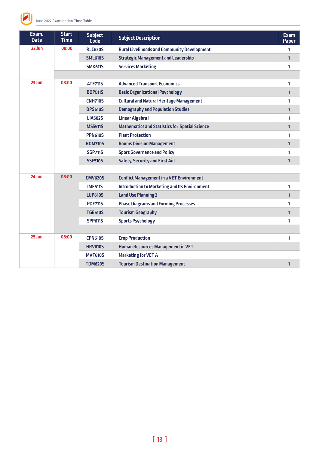

| Exam.<br><b>Date</b> | <b>Start</b><br><b>Time</b> | <b>Subject</b><br><b>Code</b> | <b>Subject Description</b>                            | <b>Exam</b><br><b>Paper</b> |
|----------------------|-----------------------------|-------------------------------|-------------------------------------------------------|-----------------------------|
| 22 Jun               | 08:00                       | <b>RLC620S</b>                | <b>Rural Livelihoods and Community Development</b>    | 1                           |
|                      |                             | <b>SML610S</b>                | <b>Strategic Management and Leadership</b>            | $\mathbf{1}$                |
|                      |                             | <b>SMK611S</b>                | <b>Services Marketing</b>                             | 1                           |
|                      |                             |                               |                                                       |                             |
| 23 Jun               | 08:00                       | <b>ATE711S</b>                | <b>Advanced Transport Economics</b>                   | 1                           |
|                      |                             | <b>BOP511S</b>                | <b>Basic Organizational Psychology</b>                | $\mathbf{1}$                |
|                      |                             | <b>CNH710S</b>                | <b>Cultural and Natural Heritage Management</b>       | 1                           |
|                      |                             | <b>DPS610S</b>                | <b>Demography and Population Studies</b>              | $\mathbf{1}$                |
|                      |                             | <b>LIA502S</b>                | <b>Linear Algebra 1</b>                               | 1                           |
|                      |                             | <b>MSS511S</b>                | <b>Mathematics and Statistics for Spatial Science</b> | $\mathbf{1}$                |
|                      |                             | <b>PPN610S</b>                | <b>Plant Protection</b>                               | 1                           |
|                      |                             | <b>RDM710S</b>                | <b>Rooms Division Management</b>                      | $\mathbf{1}$                |
|                      |                             | <b>SGP711S</b>                | <b>Sport Governance and Policy</b>                    | 1                           |
|                      |                             | <b>SSF510S</b>                | <b>Safety, Security and First Aid</b>                 | $\mathbf{1}$                |
|                      |                             |                               |                                                       |                             |
| 24 Jun               | 08:00                       | <b>CMV620S</b>                | <b>Conflict Management in a VET Environment</b>       |                             |
|                      |                             | <b>IME511S</b>                | <b>Introduction to Marketing and Its Environment</b>  | 1                           |
|                      |                             | <b>LUP610S</b>                | <b>Land Use Planning 2</b>                            | $\mathbf{1}$                |
|                      |                             | <b>PDF711S</b>                | <b>Phase Diagrams and Forming Processes</b>           | 1                           |
|                      |                             | <b>TGE510S</b>                | <b>Tourism Geography</b>                              | $\mathbf{1}$                |
|                      |                             | <b>SPP611S</b>                | <b>Sports Psychology</b>                              | 1                           |
|                      |                             |                               |                                                       |                             |
| 25 Jun               | 08:00                       | <b>CPN610S</b>                | <b>Crop Production</b>                                | 1                           |
|                      |                             | <b>HRV610S</b>                | <b>Human Resources Management in VET</b>              |                             |
|                      |                             | <b>MVT610S</b>                | <b>Marketing for VET A</b>                            |                             |
|                      |                             | <b>TDM620S</b>                | <b>Tourism Destination Management</b>                 | $\mathbf{1}$                |